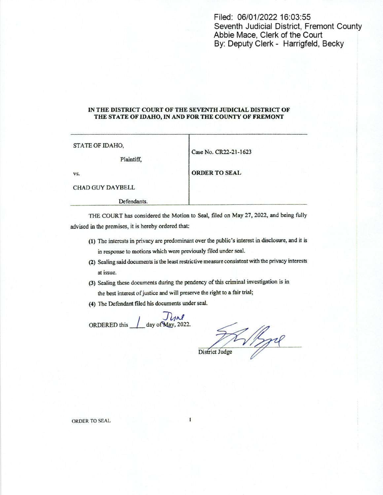Filed: 06/01/2022 16:03:55 Seventh Judicial District, Fremont County Abbie Mace, Clerk of the Court By: Deputy Clerk - Harrigfeld, Becky

## IN THE DISTRICT COURT OF THE SEVENTH JUDICIAL DISTRICT OF THE STATE OF IDAHO, IN AND FOR THE COUNTY OF FREMONT

| STATE OF IDAHO,<br>Plaintiff, | Case No. CR22-21-1623 |
|-------------------------------|-----------------------|
| VS.                           | <b>ORDER TO SEAL</b>  |
| <b>CHAD GUY DAYBELL</b>       |                       |

THE COURT has considered the Motion to Seal, filed on May 27, 2022, and being fully advised in the premises, it is hereby ordered that:

- (1) The interests in privacy are predominant over the public's interest in disclosure, and it is in response to motions which were previously filed under seal.
- (2) Sealing said documents is the leastrestrictive measure consistentwith the privacy interests at issue.
- (3) Sealing these documents during the pendency of this criminal investigation is in the best interest of justice and will preserve the right to a fair trial;
- (4) The Defendant filed his documents under seal.

ORDERED this  $\int$  day of May, 2022.

Defendants.

 $Disfrict\;Iudge$ 

ORDER TO SEAL